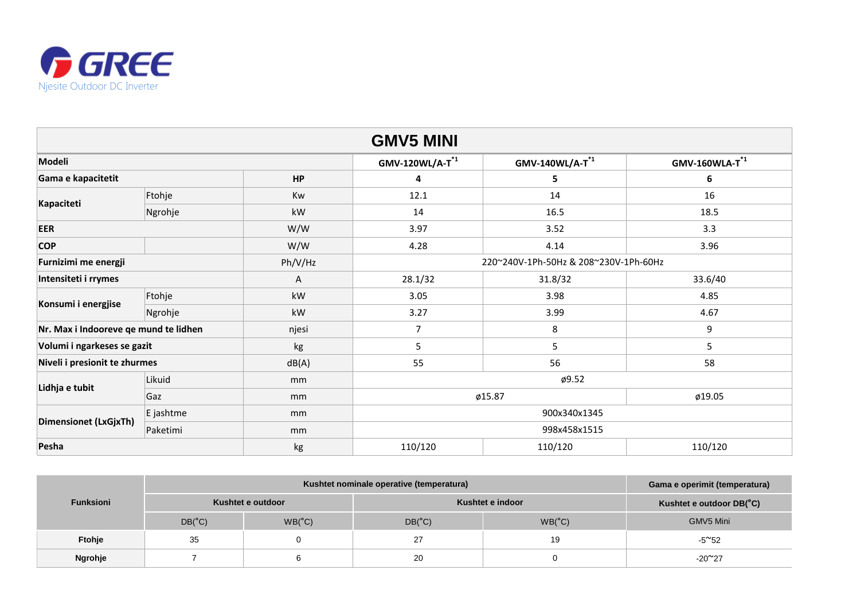

# **Gama e operimit (temperatura)**

## **Kushtet e outdoor DB(°C)**

| <b>GMV5 MINI</b>                      |           |         |                                       |                      |                  |  |
|---------------------------------------|-----------|---------|---------------------------------------|----------------------|------------------|--|
| Modeli                                |           |         | $GMV-120WL/A-T^{1}$                   | $GMV-140WL/A-T^{*1}$ | $GMV-160WLA-T^*$ |  |
| Gama e kapacitetit<br><b>HP</b>       |           |         | 4                                     | 5                    | $6\phantom{1}6$  |  |
| Kapaciteti                            | Ftohje    | Kw      | 12.1                                  | 14                   | 16               |  |
|                                       | Ngrohje   | kW      | 14                                    | 16.5                 | 18.5             |  |
| <b>EER</b>                            |           | W/W     | 3.97                                  | 3.52                 | 3.3              |  |
| <b>COP</b>                            |           | W/W     | 4.28                                  | 4.14                 | 3.96             |  |
| Furnizimi me energji                  |           | Ph/V/Hz | 220~240V-1Ph-50Hz & 208~230V-1Ph-60Hz |                      |                  |  |
| Intensiteti i rrymes                  |           | A       | 28.1/32                               | 31.8/32              | 33.6/40          |  |
| Konsumi i energjise                   | Ftohje    | kW      | 3.05                                  | 3.98                 | 4.85             |  |
|                                       | Ngrohje   | kW      | 3.27                                  | 3.99                 | 4.67             |  |
| Nr. Max i Indooreve qe mund te lidhen |           | njesi   | $\overline{7}$                        | 8                    | 9                |  |
| Volumi i ngarkeses se gazit           |           | kg      | 5                                     | 5                    | 5                |  |
| Niveli i presionit te zhurmes         |           | dB(A)   | 55                                    | 56                   | 58               |  |
| Lidhja e tubit                        | Likuid    | mm      | $\phi$ 9.52                           |                      |                  |  |
|                                       | Gaz       | mm      | ø15.87                                |                      | ø19.05           |  |
| <b>Dimensionet (LxGjxTh)</b>          | E jashtme | mm      | 900x340x1345                          |                      |                  |  |
|                                       | Paketimi  | mm      | 998x458x1515                          |                      |                  |  |
| Pesha                                 |           | kg      | 110/120                               | 110/120              | 110/120          |  |

| <b>Funksioni</b> |                   | Gama e operimit (ter |                  |                   |                  |
|------------------|-------------------|----------------------|------------------|-------------------|------------------|
|                  | Kushtet e outdoor |                      | Kushtet e indoor | Kushtet e outdoor |                  |
|                  | $DB(^{\circ}C)$   | $WB(^{\circ}C)$      | $DB(^{\circ}C)$  | $WB(^{\circ}C)$   | <b>GMV5 Mini</b> |
| Ftohje           | 35                |                      | 27               | 19                | $-5^{\sim}52$    |
| Ngrohje          |                   |                      | 20               |                   | $-20^{\sim}27$   |